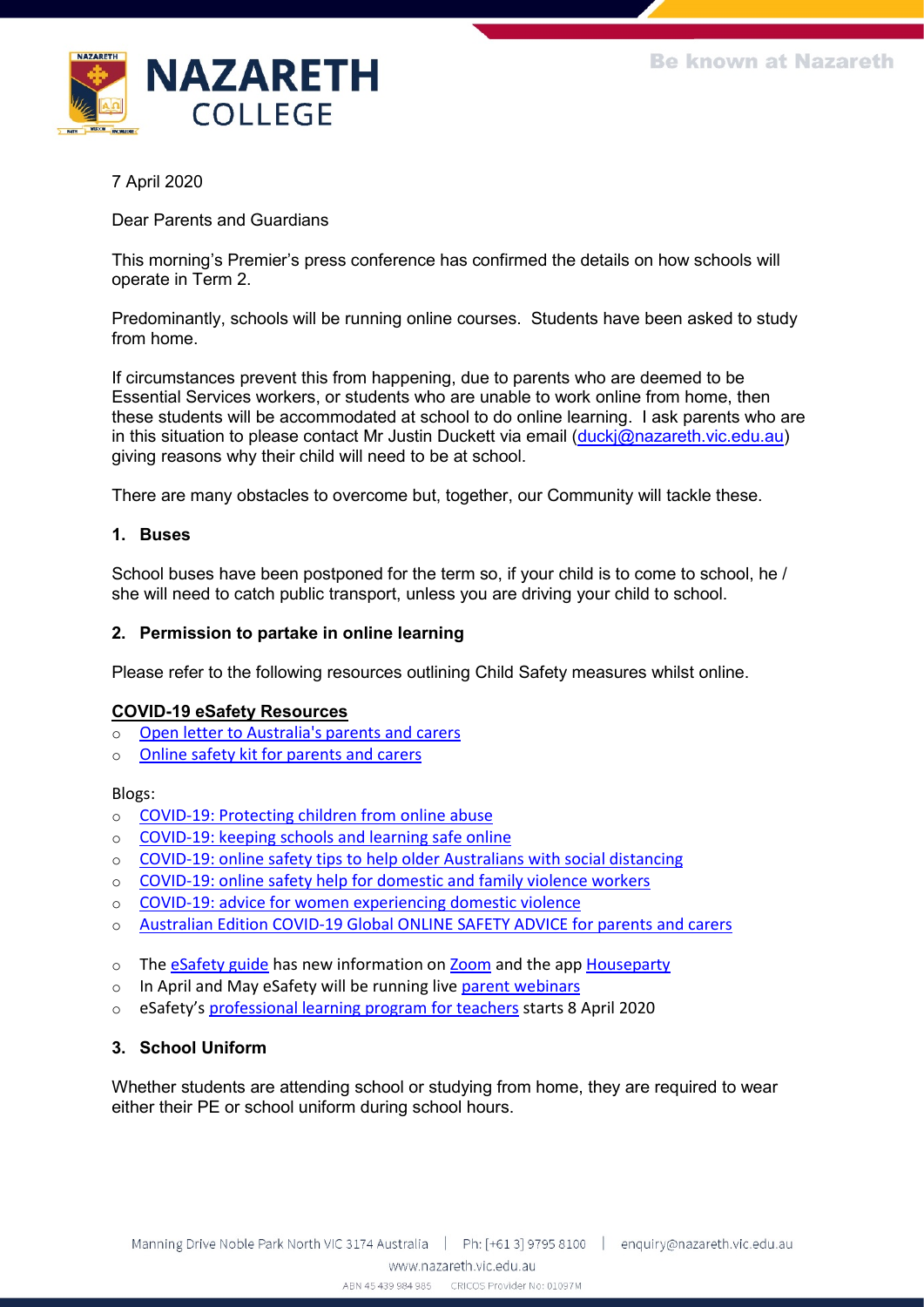

7 April 2020

Dear Parents and Guardians

This morning's Premier's press conference has confirmed the details on how schools will operate in Term 2.

Predominantly, schools will be running online courses. Students have been asked to study from home.

If circumstances prevent this from happening, due to parents who are deemed to be Essential Services workers, or students who are unable to work online from home, then these students will be accommodated at school to do online learning. I ask parents who are in this situation to please contact Mr Justin Duckett via email [\(duckj@nazareth.vic.edu.au\)](mailto:duckj@nazareth.vic.edu.au) giving reasons why their child will need to be at school.

There are many obstacles to overcome but, together, our Community will tackle these.

## **1. Buses**

School buses have been postponed for the term so, if your child is to come to school, he / she will need to catch public transport, unless you are driving your child to school.

### **2. Permission to partake in online learning**

Please refer to the following resources outlining Child Safety measures whilst online.

#### **COVID-19 eSafety Resources**

- o [Open letter to Australia's parents and carers](https://protect-au.mimecast.com/s/wRlOC91WyWIkWRLu68_Od?domain=asba.asn.au)
- o [Online safety kit for parents and carers](https://protect-au.mimecast.com/s/1QFtC0YKmKuGXJqsKkBCw?domain=asba.asn.au)

#### Blogs:

- o [COVID-19: Protecting children from online abuse](https://protect-au.mimecast.com/s/MX-ZCgZ0G0UA1POc0TDeC?domain=asba.asn.au)
- o [COVID-19: keeping schools and learning safe online](https://protect-au.mimecast.com/s/7g5RCjZ1k1Un4lKTy8pKq?domain=asba.asn.au)
- $\circ$  [COVID-19: online safety tips to help older Australians with social distancing](https://protect-au.mimecast.com/s/5N1pCk81l1iOyY8h10Ewn?domain=asba.asn.au)
- o [COVID-19: online safety help for domestic and family violence workers](https://protect-au.mimecast.com/s/WzYfClx1m1H2wO0UM0-Pt?domain=asba.asn.au)
- o [COVID-19: advice for women experiencing domestic violence](https://protect-au.mimecast.com/s/ypOtCmO5n5Ujo1Bu8uOLp?domain=asba.asn.au)
- o [Australian Edition COVID-19 Global ONLINE SAFETY ADVICE for parents and carers](https://protect-au.mimecast.com/s/DCEpCnx1o1H7ZlAFBnAFW?domain=asba.asn.au)
- o The [eSafety guide](https://protect-au.mimecast.com/s/cV7vCoV101frVljIYk0cB?domain=asba.asn.au) has new information on [Zoom](https://protect-au.mimecast.com/s/GcbKCp81q1in0Q1TLYQCS?domain=asba.asn.au) and the app [Houseparty](https://protect-au.mimecast.com/s/W40XCq71r1S8yLKCJX6NY?domain=asba.asn.au)
- o In April and May eSafety will be running live [parent webinars](https://protect-au.mimecast.com/s/3_GECr81v1i8RwPCJZZg9?domain=asba.asn.au)
- o eSafety's [professional learning program for teachers](https://protect-au.mimecast.com/s/SUmnCvl1z1S7nOpF1Efrj?domain=asba.asn.au) starts 8 April 2020

## **3. School Uniform**

Whether students are attending school or studying from home, they are required to wear either their PE or school uniform during school hours.